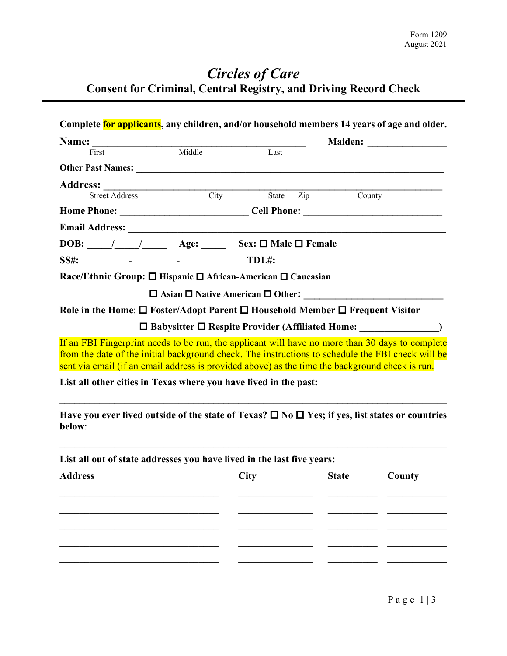## *Circles of Care* **Consent for Criminal, Central Registry, and Driving Record Check**

| Complete for applicants, any children, and/or household members 14 years of age and older.                                                                                                                                                                                                              |                                                   |              |                                                                                  |
|---------------------------------------------------------------------------------------------------------------------------------------------------------------------------------------------------------------------------------------------------------------------------------------------------------|---------------------------------------------------|--------------|----------------------------------------------------------------------------------|
|                                                                                                                                                                                                                                                                                                         |                                                   |              |                                                                                  |
| <b>Name:</b><br>First Middle Last                                                                                                                                                                                                                                                                       | Last                                              |              |                                                                                  |
|                                                                                                                                                                                                                                                                                                         |                                                   |              |                                                                                  |
| <b>Address:</b>                                                                                                                                                                                                                                                                                         |                                                   |              |                                                                                  |
| <b>Street Address</b>                                                                                                                                                                                                                                                                                   | City State Zip County                             |              |                                                                                  |
|                                                                                                                                                                                                                                                                                                         |                                                   |              |                                                                                  |
| Email Address: Note and the set of the set of the set of the set of the set of the set of the set of the set of the set of the set of the set of the set of the set of the set of the set of the set of the set of the set of                                                                           |                                                   |              |                                                                                  |
|                                                                                                                                                                                                                                                                                                         |                                                   |              |                                                                                  |
|                                                                                                                                                                                                                                                                                                         |                                                   |              |                                                                                  |
| Race/Ethnic Group: □ Hispanic □ African-American □ Caucasian                                                                                                                                                                                                                                            |                                                   |              |                                                                                  |
|                                                                                                                                                                                                                                                                                                         | $\Box$ Asian $\Box$ Native American $\Box$ Other: |              |                                                                                  |
| Role in the Home: $\Box$ Foster/Adopt Parent $\Box$ Household Member $\Box$ Frequent Visitor                                                                                                                                                                                                            |                                                   |              |                                                                                  |
|                                                                                                                                                                                                                                                                                                         |                                                   |              |                                                                                  |
|                                                                                                                                                                                                                                                                                                         |                                                   |              | □ Babysitter □ Respite Provider (Affiliated Home: ______________________________ |
| If an FBI Fingerprint needs to be run, the applicant will have no more than 30 days to complete<br>from the date of the initial background check. The instructions to schedule the FBI check will be<br>sent via email (if an email address is provided above) as the time the background check is run. |                                                   |              |                                                                                  |
| List all other cities in Texas where you have lived in the past:                                                                                                                                                                                                                                        |                                                   |              |                                                                                  |
| Have you ever lived outside of the state of Texas? $\square$ No $\square$ Yes; if yes, list states or countries<br>below:                                                                                                                                                                               |                                                   |              |                                                                                  |
| List all out of state addresses you have lived in the last five years:                                                                                                                                                                                                                                  |                                                   |              |                                                                                  |
| <b>Address</b>                                                                                                                                                                                                                                                                                          | <b>City</b>                                       | <b>State</b> | County                                                                           |
|                                                                                                                                                                                                                                                                                                         |                                                   |              |                                                                                  |
|                                                                                                                                                                                                                                                                                                         |                                                   |              |                                                                                  |
|                                                                                                                                                                                                                                                                                                         |                                                   |              |                                                                                  |
|                                                                                                                                                                                                                                                                                                         |                                                   |              |                                                                                  |
|                                                                                                                                                                                                                                                                                                         |                                                   |              |                                                                                  |
|                                                                                                                                                                                                                                                                                                         |                                                   |              |                                                                                  |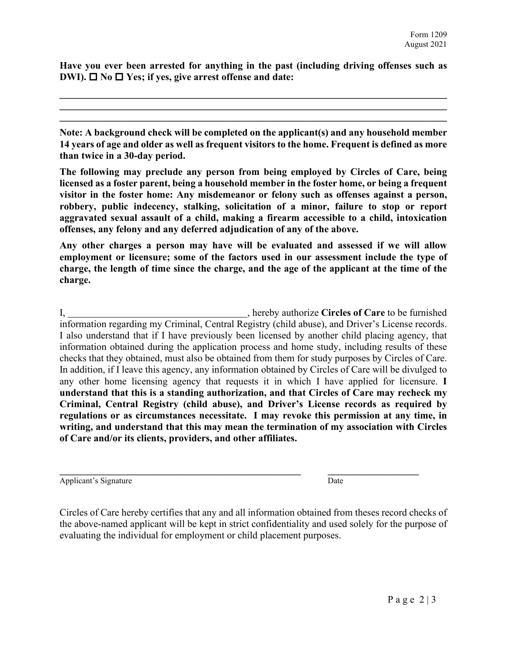**Have you ever been arrested for anything in the past (including driving offenses such as DWI).**  $\Box$  **No**  $\Box$  **Yes;** if yes, give arrest offense and date:

**\_\_\_\_\_\_\_\_\_\_\_\_\_\_\_\_\_\_\_\_\_\_\_\_\_\_\_\_\_\_\_\_\_\_\_\_\_\_\_\_\_\_\_\_\_\_\_\_\_\_\_\_\_\_\_\_\_\_\_\_\_\_\_\_\_\_\_\_\_\_\_\_\_\_\_\_\_\_ \_\_\_\_\_\_\_\_\_\_\_\_\_\_\_\_\_\_\_\_\_\_\_\_\_\_\_\_\_\_\_\_\_\_\_\_\_\_\_\_\_\_\_\_\_\_\_\_\_\_\_\_\_\_\_\_\_\_\_\_\_\_\_\_\_\_\_\_\_\_\_\_\_\_\_\_\_\_ \_\_\_\_\_\_\_\_\_\_\_\_\_\_\_\_\_\_\_\_\_\_\_\_\_\_\_\_\_\_\_\_\_\_\_\_\_\_\_\_\_\_\_\_\_\_\_\_\_\_\_\_\_\_\_\_\_\_\_\_\_\_\_\_\_\_\_\_\_\_\_\_\_\_\_\_\_\_**

**Note: A background check will be completed on the applicant(s) and any household member 14 years of age and older as well as frequent visitors to the home. Frequent is defined as more than twice in a 30-day period.** 

**The following may preclude any person from being employed by Circles of Care, being licensed as a foster parent, being a household member in the foster home, or being a frequent visitor in the foster home: Any misdemeanor or felony such as offenses against a person, robbery, public indecency, stalking, solicitation of a minor, failure to stop or report aggravated sexual assault of a child, making a firearm accessible to a child, intoxication offenses, any felony and any deferred adjudication of any of the above.**

**Any other charges a person may have will be evaluated and assessed if we will allow employment or licensure; some of the factors used in our assessment include the type of charge, the length of time since the charge, and the age of the applicant at the time of the charge.** 

I, 1. **hereby authorize Circles of Care** to be furnished information regarding my Criminal, Central Registry (child abuse), and Driver's License records. I also understand that if I have previously been licensed by another child placing agency, that information obtained during the application process and home study, including results of these checks that they obtained, must also be obtained from them for study purposes by Circles of Care. In addition, if I leave this agency, any information obtained by Circles of Care will be divulged to any other home licensing agency that requests it in which I have applied for licensure. **I understand that this is a standing authorization, and that Circles of Care may recheck my Criminal, Central Registry (child abuse), and Driver's License records as required by regulations or as circumstances necessitate. I may revoke this permission at any time, in writing, and understand that this may mean the termination of my association with Circles of Care and/or its clients, providers, and other affiliates.** 

Applicant's Signature Date

Circles of Care hereby certifies that any and all information obtained from theses record checks of the above-named applicant will be kept in strict confidentiality and used solely for the purpose of evaluating the individual for employment or child placement purposes.

**\_\_\_\_\_\_\_\_\_\_\_\_\_\_\_\_\_\_\_\_\_\_\_\_\_\_\_\_\_\_\_\_\_\_\_\_\_\_\_\_\_\_\_\_\_\_\_\_\_\_\_\_\_ \_\_\_\_\_\_\_\_\_\_\_\_\_\_\_\_\_\_\_\_**